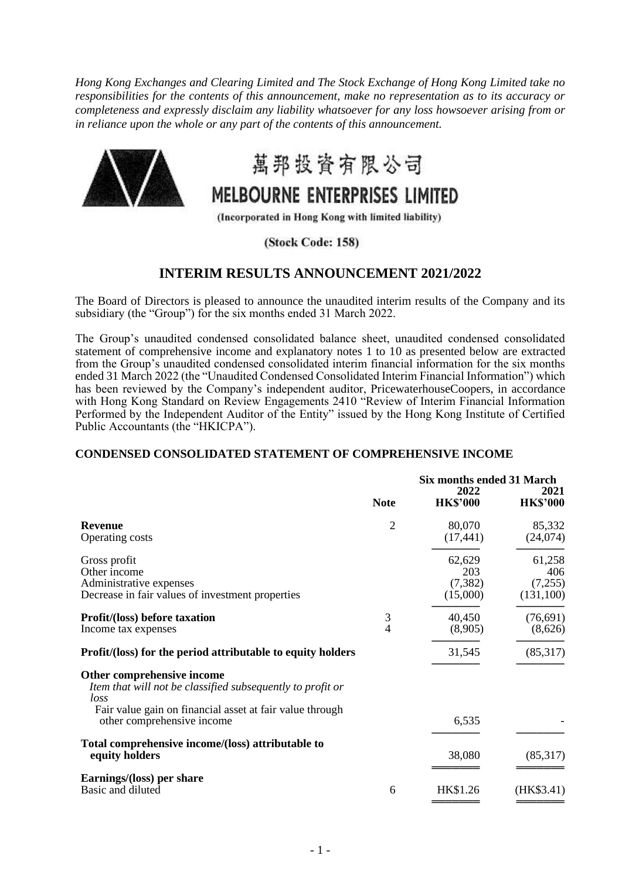*Hong Kong Exchanges and Clearing Limited and The Stock Exchange of Hong Kong Limited take no responsibilities for the contents of this announcement, make no representation as to its accuracy or completeness and expressly disclaim any liability whatsoever for any loss howsoever arising from or in reliance upon the whole or any part of the contents of this announcement.* 



萬邦投資有限公司

# MELBOURNE ENTERPRISES LIMITED

(Incorporated in Hong Kong with limited liability)

(Stock Code: 158)

## **INTERIM RESULTS ANNOUNCEMENT 2021/2022**

The Board of Directors is pleased to announce the unaudited interim results of the Company and its subsidiary (the "Group") for the six months ended 31 March 2022.

The Group's unaudited condensed consolidated balance sheet, unaudited condensed consolidated statement of comprehensive income and explanatory notes 1 to 10 as presented below are extracted from the Group's unaudited condensed consolidated interim financial information for the six months ended 31 March 2022 (the "Unaudited Condensed Consolidated Interim Financial Information") which has been reviewed by the Company's independent auditor, PricewaterhouseCoopers, in accordance with Hong Kong Standard on Review Engagements 2410 "Review of Interim Financial Information Performed by the Independent Auditor of the Entity" issued by the Hong Kong Institute of Certified Public Accountants (the "HKICPA").

## **CONDENSED CONSOLIDATED STATEMENT OF COMPREHENSIVE INCOME**

|                                                                                                                                                                                            | <b>Note</b> | <b>Six months ended 31 March</b><br>2022<br><b>HK\$'000</b> | 2021<br><b>HK\$'000</b>               |
|--------------------------------------------------------------------------------------------------------------------------------------------------------------------------------------------|-------------|-------------------------------------------------------------|---------------------------------------|
| <b>Revenue</b><br><b>Operating costs</b>                                                                                                                                                   | 2           | 80,070<br>(17, 441)                                         | 85,332<br>(24,074)                    |
| Gross profit<br>Other income<br>Administrative expenses<br>Decrease in fair values of investment properties                                                                                |             | 62,629<br>203<br>(7, 382)<br>(15,000)                       | 61,258<br>406<br>(7,255)<br>(131,100) |
| <b>Profit/(loss) before taxation</b><br>Income tax expenses                                                                                                                                | 3<br>4      | 40,450<br>(8,905)                                           | (76,691)<br>(8,626)                   |
| Profit/(loss) for the period attributable to equity holders                                                                                                                                |             | 31,545                                                      | (85,317)                              |
| Other comprehensive income<br>Item that will not be classified subsequently to profit or<br>loss<br>Fair value gain on financial asset at fair value through<br>other comprehensive income |             | 6,535                                                       |                                       |
| Total comprehensive income/(loss) attributable to<br>equity holders                                                                                                                        |             | 38,080                                                      | (85,317)                              |
| Earnings/(loss) per share<br>Basic and diluted                                                                                                                                             | 6           | HK\$1.26                                                    | (HK\$3.41)                            |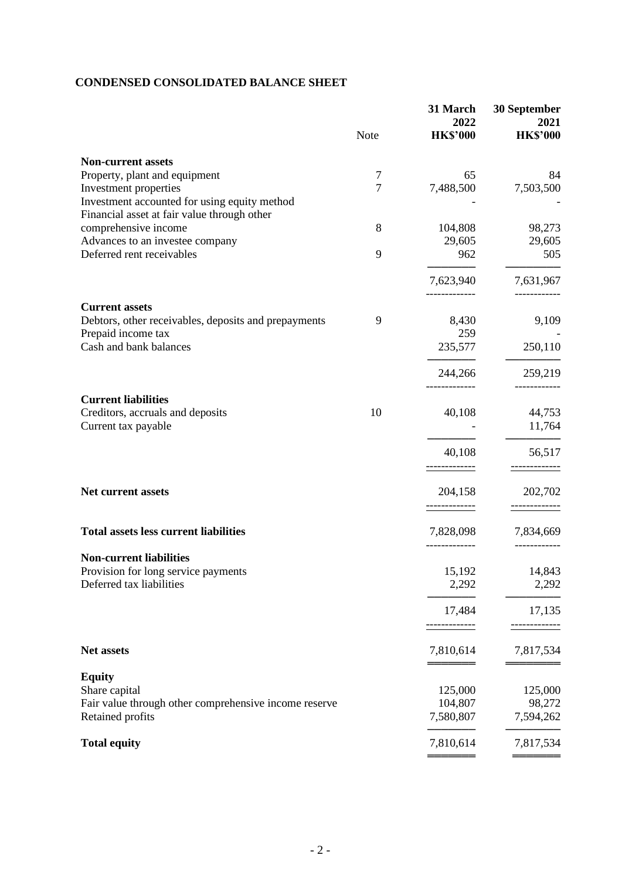# **CONDENSED CONSOLIDATED BALANCE SHEET**

|                                                                                                        | <b>Note</b> | 31 March<br>2022<br><b>HK\$'000</b> | <b>30 September</b><br>2021<br><b>HK\$'000</b> |
|--------------------------------------------------------------------------------------------------------|-------------|-------------------------------------|------------------------------------------------|
| <b>Non-current assets</b>                                                                              |             |                                     |                                                |
| Property, plant and equipment<br>Investment properties<br>Investment accounted for using equity method | 7<br>7      | 65<br>7,488,500                     | 84<br>7,503,500                                |
| Financial asset at fair value through other<br>comprehensive income<br>Advances to an investee company | 8           | 104,808<br>29,605                   | 98,273<br>29,605                               |
| Deferred rent receivables                                                                              | 9           | 962                                 | 505                                            |
|                                                                                                        |             | 7,623,940                           | 7,631,967                                      |
| <b>Current assets</b><br>Debtors, other receivables, deposits and prepayments<br>Prepaid income tax    | 9           | 8,430<br>259                        | 9,109                                          |
| Cash and bank balances                                                                                 |             | 235,577                             | 250,110                                        |
|                                                                                                        |             | 244,266                             | 259,219                                        |
| <b>Current liabilities</b><br>Creditors, accruals and deposits<br>Current tax payable                  | 10          | 40,108                              | 44,753<br>11,764                               |
|                                                                                                        |             | 40,108                              | 56,517                                         |
| <b>Net current assets</b>                                                                              |             | 204,158                             | 202,702                                        |
| <b>Total assets less current liabilities</b>                                                           |             | 7,828,098                           | 7,834,669                                      |
| <b>Non-current liabilities</b>                                                                         |             |                                     |                                                |
| Provision for long service payments<br>Deferred tax liabilities                                        |             | 15,192<br>2,292                     | 14,843<br>2,292                                |
|                                                                                                        |             | 17,484                              | 17,135                                         |
| Net assets                                                                                             |             | 7,810,614                           | 7,817,534                                      |
| <b>Equity</b>                                                                                          |             |                                     |                                                |
| Share capital<br>Fair value through other comprehensive income reserve                                 |             | 125,000<br>104,807                  | 125,000<br>98,272                              |
| Retained profits                                                                                       |             | 7,580,807                           | 7,594,262                                      |
| <b>Total equity</b>                                                                                    |             | 7,810,614                           | 7,817,534                                      |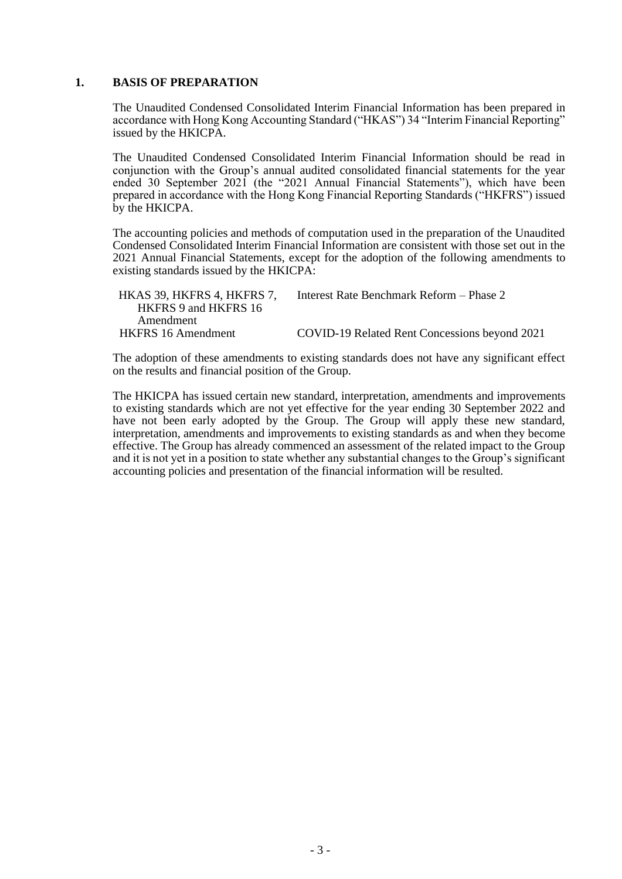#### **1. BASIS OF PREPARATION**

The Unaudited Condensed Consolidated Interim Financial Information has been prepared in accordance with Hong Kong Accounting Standard ("HKAS") 34 "Interim Financial Reporting" issued by the HKICPA.

The Unaudited Condensed Consolidated Interim Financial Information should be read in conjunction with the Group's annual audited consolidated financial statements for the year ended 30 September 2021 (the "2021 Annual Financial Statements"), which have been prepared in accordance with the Hong Kong Financial Reporting Standards ("HKFRS") issued by the HKICPA.

The accounting policies and methods of computation used in the preparation of the Unaudited Condensed Consolidated Interim Financial Information are consistent with those set out in the 2021 Annual Financial Statements, except for the adoption of the following amendments to existing standards issued by the HKICPA:

| HKAS 39, HKFRS 4, HKFRS 7, | Interest Rate Benchmark Reform – Phase 2      |
|----------------------------|-----------------------------------------------|
| HKFRS 9 and HKFRS 16       |                                               |
| Amendment                  |                                               |
| <b>HKFRS</b> 16 Amendment  | COVID-19 Related Rent Concessions beyond 2021 |

The adoption of these amendments to existing standards does not have any significant effect on the results and financial position of the Group.

The HKICPA has issued certain new standard, interpretation, amendments and improvements to existing standards which are not yet effective for the year ending 30 September 2022 and have not been early adopted by the Group. The Group will apply these new standard, interpretation, amendments and improvements to existing standards as and when they become effective. The Group has already commenced an assessment of the related impact to the Group and it is not yet in a position to state whether any substantial changes to the Group's significant accounting policies and presentation of the financial information will be resulted.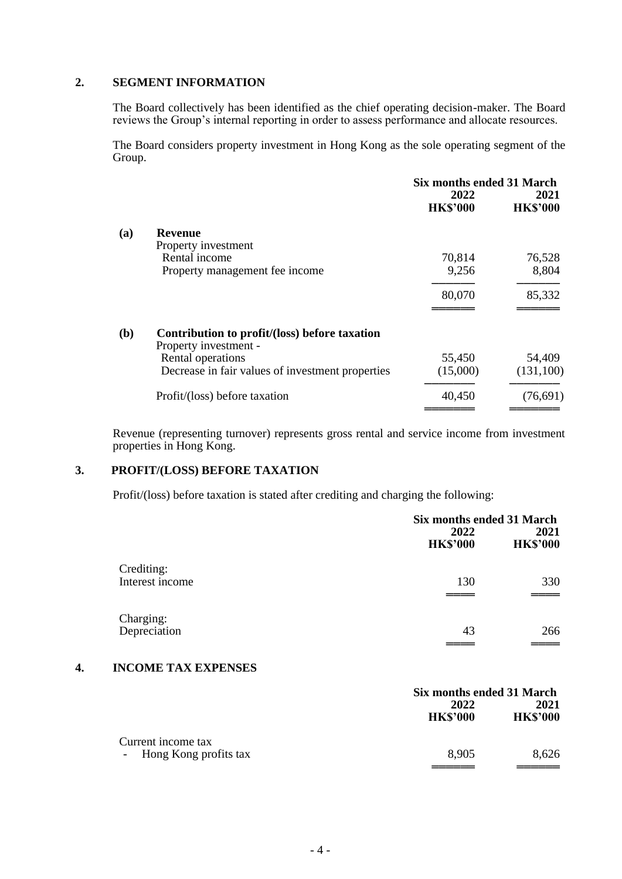## **2. SEGMENT INFORMATION**

The Board collectively has been identified as the chief operating decision-maker. The Board reviews the Group's internal reporting in order to assess performance and allocate resources.

The Board considers property investment in Hong Kong as the sole operating segment of the Group.

|     |                                                                        |                         | Six months ended 31 March |  |
|-----|------------------------------------------------------------------------|-------------------------|---------------------------|--|
|     |                                                                        | 2022<br><b>HK\$'000</b> | 2021<br><b>HK\$'000</b>   |  |
| (a) | <b>Revenue</b>                                                         |                         |                           |  |
|     | Property investment                                                    |                         |                           |  |
|     | Rental income                                                          | 70,814                  | 76,528                    |  |
|     | Property management fee income                                         | 9,256                   | 8,804                     |  |
|     |                                                                        | 80,070                  | 85,332                    |  |
|     |                                                                        |                         |                           |  |
| (b) | Contribution to profit/(loss) before taxation<br>Property investment - |                         |                           |  |
|     | Rental operations                                                      | 55,450                  | 54,409                    |  |
|     | Decrease in fair values of investment properties                       | (15,000)                | (131,100)                 |  |
|     | Profit/(loss) before taxation                                          | 40,450                  | (76,691)                  |  |
|     |                                                                        |                         |                           |  |

Revenue (representing turnover) represents gross rental and service income from investment properties in Hong Kong.

## **3. PROFIT/(LOSS) BEFORE TAXATION**

Profit/(loss) before taxation is stated after crediting and charging the following:

|                               | Six months ended 31 March |                         |
|-------------------------------|---------------------------|-------------------------|
|                               | 2022<br><b>HK\$'000</b>   | 2021<br><b>HK\$'000</b> |
| Crediting:<br>Interest income | 130                       | 330                     |
| Charging:<br>Depreciation     | 43                        | 266                     |

## **4. INCOME TAX EXPENSES**

|                         | Six months ended 31 March |                         |
|-------------------------|---------------------------|-------------------------|
|                         | 2022<br><b>HK\$'000</b>   | 2021<br><b>HK\$'000</b> |
| Current income tax      |                           |                         |
| - Hong Kong profits tax | 8.905                     | 8,626                   |
|                         |                           |                         |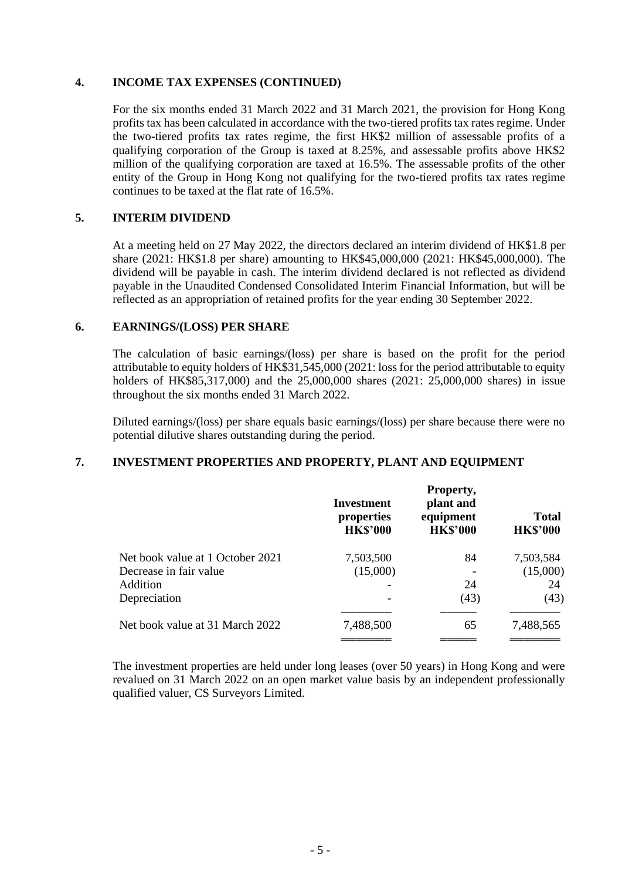#### **4. INCOME TAX EXPENSES (CONTINUED)**

For the six months ended 31 March 2022 and 31 March 2021, the provision for Hong Kong profits tax has been calculated in accordance with the two-tiered profits tax rates regime. Under the two-tiered profits tax rates regime, the first HK\$2 million of assessable profits of a qualifying corporation of the Group is taxed at 8.25%, and assessable profits above HK\$2 million of the qualifying corporation are taxed at 16.5%. The assessable profits of the other entity of the Group in Hong Kong not qualifying for the two-tiered profits tax rates regime continues to be taxed at the flat rate of 16.5%.

## **5. INTERIM DIVIDEND**

At a meeting held on 27 May 2022, the directors declared an interim dividend of HK\$1.8 per share (2021: HK\$1.8 per share) amounting to HK\$45,000,000 (2021: HK\$45,000,000). The dividend will be payable in cash. The interim dividend declared is not reflected as dividend payable in the Unaudited Condensed Consolidated Interim Financial Information, but will be reflected as an appropriation of retained profits for the year ending 30 September 2022.

## **6. EARNINGS/(LOSS) PER SHARE**

The calculation of basic earnings/(loss) per share is based on the profit for the period attributable to equity holders of HK\$31,545,000 (2021: loss for the period attributable to equity holders of HK\$85,317,000) and the 25,000,000 shares (2021: 25,000,000 shares) in issue throughout the six months ended 31 March 2022.

Diluted earnings/(loss) per share equals basic earnings/(loss) per share because there were no potential dilutive shares outstanding during the period.

## **7. INVESTMENT PROPERTIES AND PROPERTY, PLANT AND EQUIPMENT**

|                                  | Investment<br>properties<br><b>HK\$'000</b> | Property,<br>plant and<br>equipment<br><b>HK\$'000</b> | <b>Total</b><br><b>HK\$'000</b> |
|----------------------------------|---------------------------------------------|--------------------------------------------------------|---------------------------------|
| Net book value at 1 October 2021 | 7,503,500                                   | 84                                                     | 7,503,584                       |
| Decrease in fair value           | (15,000)                                    |                                                        | (15,000)                        |
| Addition                         |                                             | 24                                                     | 24                              |
| Depreciation                     |                                             | (43)                                                   | (43)                            |
| Net book value at 31 March 2022  | 7,488,500                                   | 65                                                     | 7,488,565                       |

The investment properties are held under long leases (over 50 years) in Hong Kong and were revalued on 31 March 2022 on an open market value basis by an independent professionally qualified valuer, CS Surveyors Limited.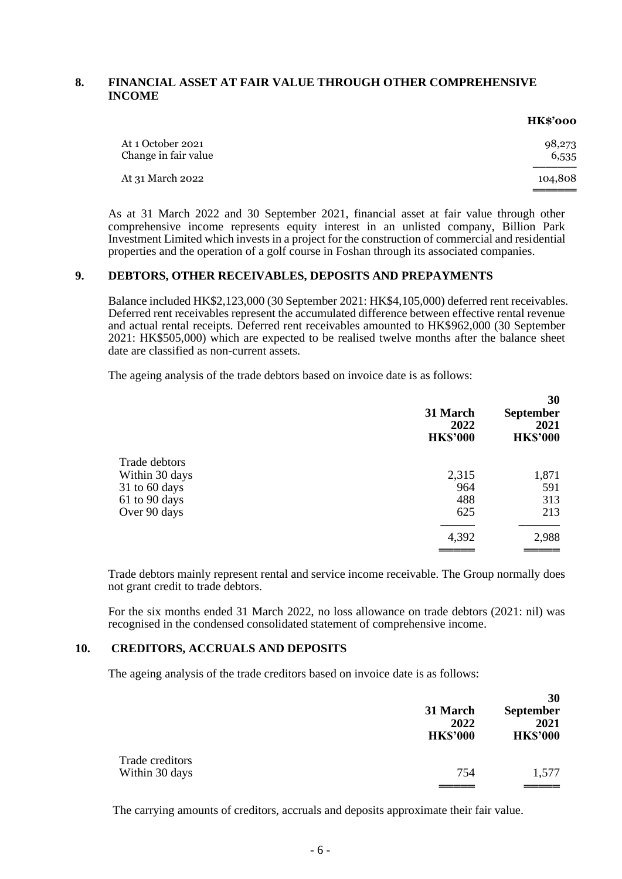## **8. FINANCIAL ASSET AT FAIR VALUE THROUGH OTHER COMPREHENSIVE INCOME**

|                                           | <b>HK\$'000</b> |
|-------------------------------------------|-----------------|
| At 1 October 2021<br>Change in fair value | 98,273<br>6,535 |
| At 31 March 2022                          | 104,808         |
|                                           |                 |

As at 31 March 2022 and 30 September 2021, financial asset at fair value through other comprehensive income represents equity interest in an unlisted company, Billion Park Investment Limited which invests in a project for the construction of commercial and residential properties and the operation of a golf course in Foshan through its associated companies.

#### **9. DEBTORS, OTHER RECEIVABLES, DEPOSITS AND PREPAYMENTS**

Balance included HK\$2,123,000 (30 September 2021: HK\$4,105,000) deferred rent receivables. Deferred rent receivables represent the accumulated difference between effective rental revenue and actual rental receipts. Deferred rent receivables amounted to HK\$962,000 (30 September 2021: HK\$505,000) which are expected to be realised twelve months after the balance sheet date are classified as non-current assets.

The ageing analysis of the trade debtors based on invoice date is as follows:

|                | 31 March<br>2022<br><b>HK\$'000</b> | 30<br><b>September</b><br>2021<br><b>HK\$'000</b> |
|----------------|-------------------------------------|---------------------------------------------------|
| Trade debtors  |                                     |                                                   |
| Within 30 days | 2,315                               | 1,871                                             |
| 31 to 60 days  | 964                                 | 591                                               |
| 61 to 90 days  | 488                                 | 313                                               |
| Over 90 days   | 625                                 | 213                                               |
|                | 4,392                               | 2,988                                             |
|                |                                     |                                                   |

Trade debtors mainly represent rental and service income receivable. The Group normally does not grant credit to trade debtors.

For the six months ended 31 March 2022, no loss allowance on trade debtors (2021: nil) was recognised in the condensed consolidated statement of comprehensive income.

## **10. CREDITORS, ACCRUALS AND DEPOSITS**

The ageing analysis of the trade creditors based on invoice date is as follows:

|                 | 31 March<br>2022<br><b>HK\$'000</b> | 30<br><b>September</b><br>2021<br><b>HK\$'000</b> |
|-----------------|-------------------------------------|---------------------------------------------------|
| Trade creditors |                                     |                                                   |
| Within 30 days  | 754                                 | 1,577                                             |
|                 |                                     |                                                   |

The carrying amounts of creditors, accruals and deposits approximate their fair value.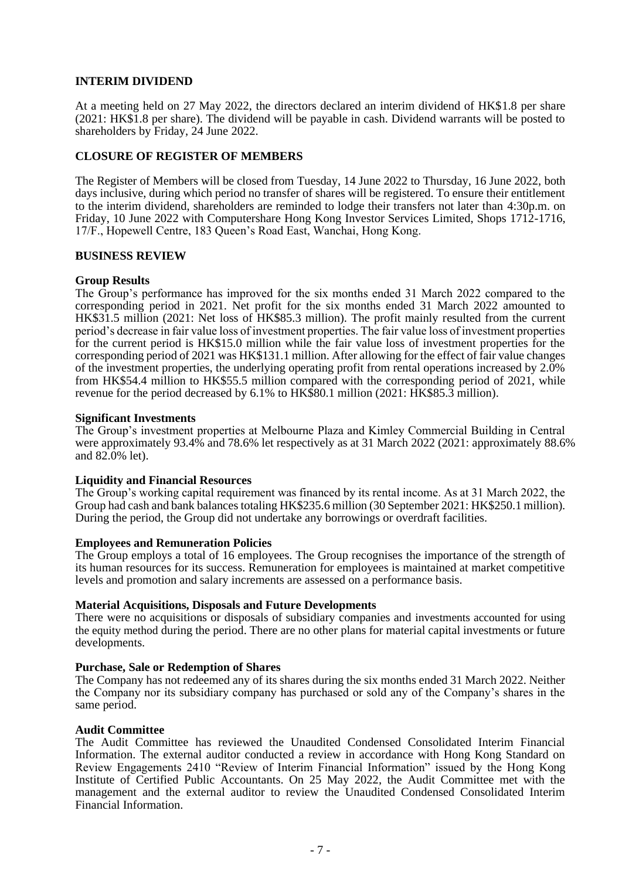## **INTERIM DIVIDEND**

At a meeting held on 27 May 2022, the directors declared an interim dividend of HK\$1.8 per share (2021: HK\$1.8 per share). The dividend will be payable in cash. Dividend warrants will be posted to shareholders by Friday, 24 June 2022.

#### **CLOSURE OF REGISTER OF MEMBERS**

The Register of Members will be closed from Tuesday, 14 June 2022 to Thursday, 16 June 2022, both days inclusive, during which period no transfer of shares will be registered. To ensure their entitlement to the interim dividend, shareholders are reminded to lodge their transfers not later than 4:30p.m. on Friday, 10 June 2022 with Computershare Hong Kong Investor Services Limited, Shops 1712-1716, 17/F., Hopewell Centre, 183 Queen's Road East, Wanchai, Hong Kong.

#### **BUSINESS REVIEW**

#### **Group Results**

The Group's performance has improved for the six months ended 31 March 2022 compared to the corresponding period in 2021. Net profit for the six months ended 31 March 2022 amounted to HK\$31.5 million (2021: Net loss of HK\$85.3 million). The profit mainly resulted from the current period's decrease in fair value loss of investment properties. The fair value loss of investment properties for the current period is HK\$15.0 million while the fair value loss of investment properties for the corresponding period of 2021 was HK\$131.1 million. After allowing for the effect of fair value changes of the investment properties, the underlying operating profit from rental operations increased by 2.0% from HK\$54.4 million to HK\$55.5 million compared with the corresponding period of 2021, while revenue for the period decreased by 6.1% to HK\$80.1 million (2021: HK\$85.3 million).

#### **Significant Investments**

The Group's investment properties at Melbourne Plaza and Kimley Commercial Building in Central were approximately 93.4% and 78.6% let respectively as at 31 March 2022 (2021: approximately 88.6% and 82.0% let).

#### **Liquidity and Financial Resources**

The Group's working capital requirement was financed by its rental income. As at 31 March 2022, the Group had cash and bank balances totaling HK\$235.6 million (30 September 2021: HK\$250.1 million). During the period, the Group did not undertake any borrowings or overdraft facilities.

#### **Employees and Remuneration Policies**

The Group employs a total of 16 employees. The Group recognises the importance of the strength of its human resources for its success. Remuneration for employees is maintained at market competitive levels and promotion and salary increments are assessed on a performance basis.

#### **Material Acquisitions, Disposals and Future Developments**

There were no acquisitions or disposals of subsidiary companies and investments accounted for using the equity method during the period. There are no other plans for material capital investments or future developments.

#### **Purchase, Sale or Redemption of Shares**

The Company has not redeemed any of its shares during the six months ended 31 March 2022. Neither the Company nor its subsidiary company has purchased or sold any of the Company's shares in the same period.

#### **Audit Committee**

The Audit Committee has reviewed the Unaudited Condensed Consolidated Interim Financial Information. The external auditor conducted a review in accordance with Hong Kong Standard on Review Engagements 2410 "Review of Interim Financial Information" issued by the Hong Kong Institute of Certified Public Accountants. On 25 May 2022, the Audit Committee met with the management and the external auditor to review the Unaudited Condensed Consolidated Interim Financial Information.